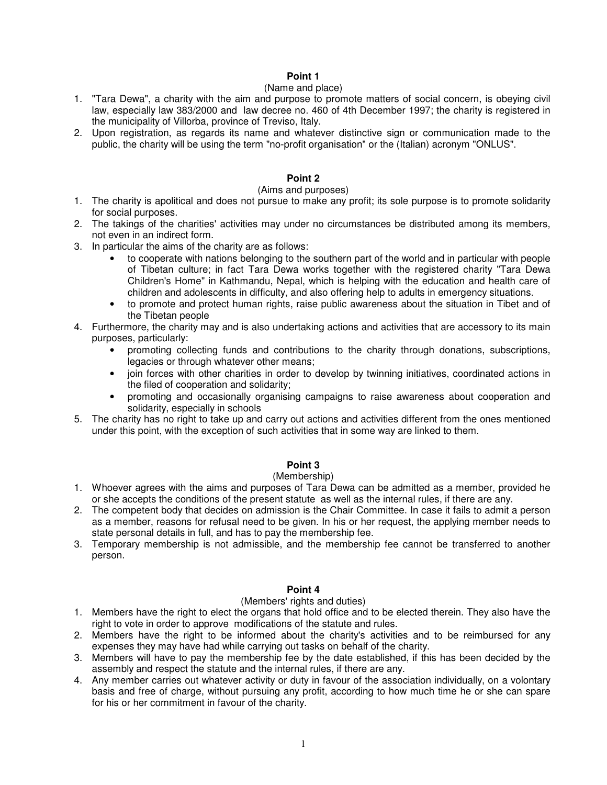## (Name and place)

- 1. "Tara Dewa", a charity with the aim and purpose to promote matters of social concern, is obeying civil law, especially law 383/2000 and law decree no. 460 of 4th December 1997; the charity is registered in the municipality of Villorba, province of Treviso, Italy.
- 2. Upon registration, as regards its name and whatever distinctive sign or communication made to the public, the charity will be using the term "no-profit organisation" or the (Italian) acronym "ONLUS".

## **Point 2**

### (Aims and purposes)

- 1. The charity is apolitical and does not pursue to make any profit; its sole purpose is to promote solidarity for social purposes.
- 2. The takings of the charities' activities may under no circumstances be distributed among its members, not even in an indirect form.
- 3. In particular the aims of the charity are as follows:
	- to cooperate with nations belonging to the southern part of the world and in particular with people of Tibetan culture; in fact Tara Dewa works together with the registered charity "Tara Dewa Children's Home" in Kathmandu, Nepal, which is helping with the education and health care of children and adolescents in difficulty, and also offering help to adults in emergency situations.
	- to promote and protect human rights, raise public awareness about the situation in Tibet and of the Tibetan people
- 4. Furthermore, the charity may and is also undertaking actions and activities that are accessory to its main purposes, particularly:
	- promoting collecting funds and contributions to the charity through donations, subscriptions, legacies or through whatever other means;
	- join forces with other charities in order to develop by twinning initiatives, coordinated actions in the filed of cooperation and solidarity;
	- promoting and occasionally organising campaigns to raise awareness about cooperation and solidarity, especially in schools
- 5. The charity has no right to take up and carry out actions and activities different from the ones mentioned under this point, with the exception of such activities that in some way are linked to them.

## **Point 3**

## (Membership)

- 1. Whoever agrees with the aims and purposes of Tara Dewa can be admitted as a member, provided he or she accepts the conditions of the present statute as well as the internal rules, if there are any.
- 2. The competent body that decides on admission is the Chair Committee. In case it fails to admit a person as a member, reasons for refusal need to be given. In his or her request, the applying member needs to state personal details in full, and has to pay the membership fee.
- 3. Temporary membership is not admissible, and the membership fee cannot be transferred to another person.

## **Point 4**

### (Members' rights and duties)

- 1. Members have the right to elect the organs that hold office and to be elected therein. They also have the right to vote in order to approve modifications of the statute and rules.
- 2. Members have the right to be informed about the charity's activities and to be reimbursed for any expenses they may have had while carrying out tasks on behalf of the charity.
- 3. Members will have to pay the membership fee by the date established, if this has been decided by the assembly and respect the statute and the internal rules, if there are any.
- 4. Any member carries out whatever activity or duty in favour of the association individually, on a volontary basis and free of charge, without pursuing any profit, according to how much time he or she can spare for his or her commitment in favour of the charity.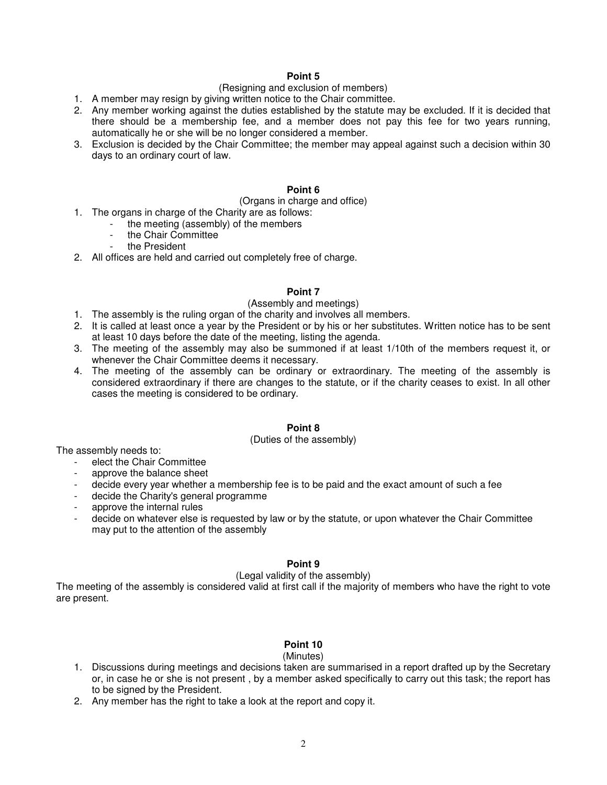## (Resigning and exclusion of members)

- 1. A member may resign by giving written notice to the Chair committee.
- 2. Any member working against the duties established by the statute may be excluded. If it is decided that there should be a membership fee, and a member does not pay this fee for two years running, automatically he or she will be no longer considered a member.
- 3. Exclusion is decided by the Chair Committee; the member may appeal against such a decision within 30 days to an ordinary court of law.

#### **Point 6**

#### (Organs in charge and office)

- 1. The organs in charge of the Charity are as follows:
	- the meeting (assembly) of the members
		- the Chair Committee
		- the President
- 2. All offices are held and carried out completely free of charge.

#### **Point 7**

## (Assembly and meetings)

- 1. The assembly is the ruling organ of the charity and involves all members.
- 2. It is called at least once a year by the President or by his or her substitutes. Written notice has to be sent at least 10 days before the date of the meeting, listing the agenda.
- 3. The meeting of the assembly may also be summoned if at least 1/10th of the members request it, or whenever the Chair Committee deems it necessary.
- 4. The meeting of the assembly can be ordinary or extraordinary. The meeting of the assembly is considered extraordinary if there are changes to the statute, or if the charity ceases to exist. In all other cases the meeting is considered to be ordinary.

### **Point 8**

#### (Duties of the assembly)

The assembly needs to:

- elect the Chair Committee<br>- annrove the balance sheet
- approve the balance sheet
- decide every year whether a membership fee is to be paid and the exact amount of such a fee
- decide the Charity's general programme
- approve the internal rules
- decide on whatever else is requested by law or by the statute, or upon whatever the Chair Committee may put to the attention of the assembly

### **Point 9**

### (Legal validity of the assembly)

The meeting of the assembly is considered valid at first call if the majority of members who have the right to vote are present.

### **Point 10**

#### (Minutes)

- 1. Discussions during meetings and decisions taken are summarised in a report drafted up by the Secretary or, in case he or she is not present , by a member asked specifically to carry out this task; the report has to be signed by the President.
- 2. Any member has the right to take a look at the report and copy it.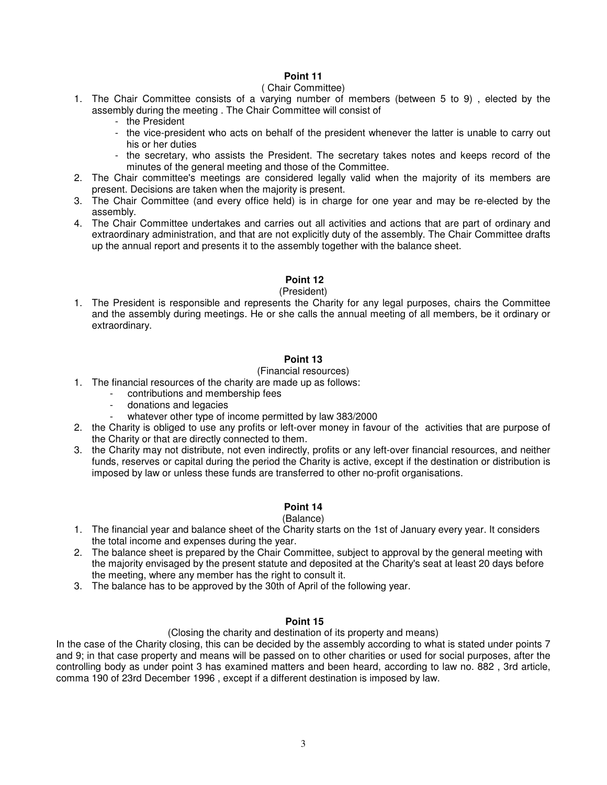## ( Chair Committee)

- 1. The Chair Committee consists of a varying number of members (between 5 to 9) , elected by the assembly during the meeting . The Chair Committee will consist of
	- the President
	- the vice-president who acts on behalf of the president whenever the latter is unable to carry out his or her duties
	- the secretary, who assists the President. The secretary takes notes and keeps record of the minutes of the general meeting and those of the Committee.
- 2. The Chair committee's meetings are considered legally valid when the majority of its members are present. Decisions are taken when the majority is present.
- 3. The Chair Committee (and every office held) is in charge for one year and may be re-elected by the assembly.
- 4. The Chair Committee undertakes and carries out all activities and actions that are part of ordinary and extraordinary administration, and that are not explicitly duty of the assembly. The Chair Committee drafts up the annual report and presents it to the assembly together with the balance sheet.

# **Point 12**

## (President)

1. The President is responsible and represents the Charity for any legal purposes, chairs the Committee and the assembly during meetings. He or she calls the annual meeting of all members, be it ordinary or extraordinary.

## **Point 13**

## (Financial resources)

- 1. The financial resources of the charity are made up as follows:
	- contributions and membership fees
	- donations and legacies
	- whatever other type of income permitted by law 383/2000
- 2. the Charity is obliged to use any profits or left-over money in favour of the activities that are purpose of the Charity or that are directly connected to them.
- 3. the Charity may not distribute, not even indirectly, profits or any left-over financial resources, and neither funds, reserves or capital during the period the Charity is active, except if the destination or distribution is imposed by law or unless these funds are transferred to other no-profit organisations.

# **Point 14**

### (Balance)

- 1. The financial year and balance sheet of the Charity starts on the 1st of January every year. It considers the total income and expenses during the year.
- 2. The balance sheet is prepared by the Chair Committee, subject to approval by the general meeting with the majority envisaged by the present statute and deposited at the Charity's seat at least 20 days before the meeting, where any member has the right to consult it.
- 3. The balance has to be approved by the 30th of April of the following year.

## **Point 15**

## (Closing the charity and destination of its property and means)

In the case of the Charity closing, this can be decided by the assembly according to what is stated under points 7 and 9; in that case property and means will be passed on to other charities or used for social purposes, after the controlling body as under point 3 has examined matters and been heard, according to law no. 882 , 3rd article, comma 190 of 23rd December 1996 , except if a different destination is imposed by law.